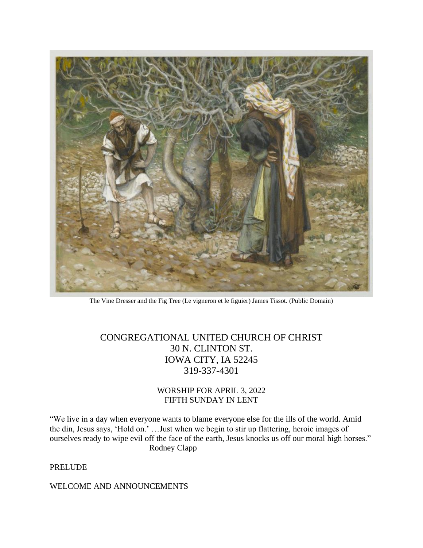

The Vine Dresser and the Fig Tree (Le vigneron et le figuier) James Tissot. (Public Domain)

CONGREGATIONAL UNITED CHURCH OF CHRIST 30 N. CLINTON ST. IOWA CITY, IA 52245 319-337-4301

## WORSHIP FOR APRIL 3, 2022 FIFTH SUNDAY IN LENT

"We live in a day when everyone wants to blame everyone else for the ills of the world. Amid the din, Jesus says, 'Hold on.' …Just when we begin to stir up flattering, heroic images of ourselves ready to wipe evil off the face of the earth, Jesus knocks us off our moral high horses." Rodney Clapp

PRELUDE

WELCOME AND ANNOUNCEMENTS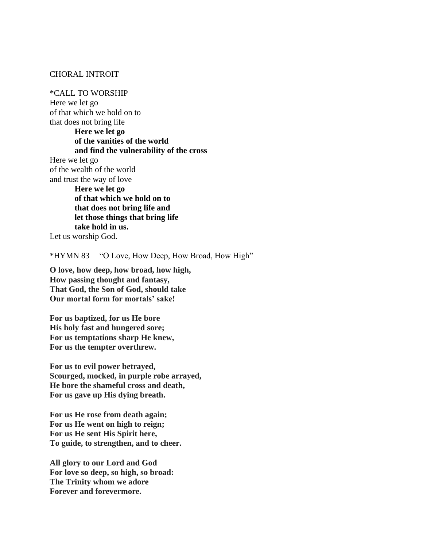### CHORAL INTROIT

\*CALL TO WORSHIP Here we let go of that which we hold on to that does not bring life **Here we let go of the vanities of the world and find the vulnerability of the cross**  Here we let go of the wealth of the world and trust the way of love **Here we let go of that which we hold on to that does not bring life and let those things that bring life take hold in us.** Let us worship God.

\*HYMN 83 "O Love, How Deep, How Broad, How High"

**O love, how deep, how broad, how high, How passing thought and fantasy, That God, the Son of God, should take Our mortal form for mortals' sake!**

**For us baptized, for us He bore His holy fast and hungered sore; For us temptations sharp He knew, For us the tempter overthrew.**

**For us to evil power betrayed, Scourged, mocked, in purple robe arrayed, He bore the shameful cross and death, For us gave up His dying breath.**

**For us He rose from death again; For us He went on high to reign; For us He sent His Spirit here, To guide, to strengthen, and to cheer.**

**All glory to our Lord and God For love so deep, so high, so broad: The Trinity whom we adore Forever and forevermore.**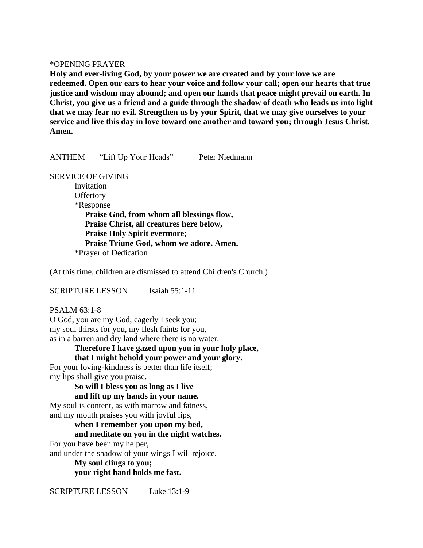#### \*OPENING PRAYER

**Holy and ever-living God, by your power we are created and by your love we are redeemed. Open our ears to hear your voice and follow your call; open our hearts that true justice and wisdom may abound; and open our hands that peace might prevail on earth. In Christ, you give us a friend and a guide through the shadow of death who leads us into light that we may fear no evil. Strengthen us by your Spirit, that we may give ourselves to your service and live this day in love toward one another and toward you; through Jesus Christ. Amen.**

ANTHEM "Lift Up Your Heads" Peter Niedmann

SERVICE OF GIVING

Invitation **Offertory**  \*Response **Praise God, from whom all blessings flow, Praise Christ, all creatures here below, Praise Holy Spirit evermore; Praise Triune God, whom we adore. Amen. \***Prayer of Dedication

(At this time, children are dismissed to attend Children's Church.)

SCRIPTURE LESSON Isaiah 55:1-11

PSALM 63:1-8 O God, you are my God; eagerly I seek you; my soul thirsts for you, my flesh faints for you, as in a barren and dry land where there is no water.

**Therefore I have gazed upon you in your holy place, that I might behold your power and your glory.**

For your loving-kindness is better than life itself; my lips shall give you praise.

> **So will I bless you as long as I live and lift up my hands in your name.**

My soul is content, as with marrow and fatness, and my mouth praises you with joyful lips,

**when I remember you upon my bed,**

## **and meditate on you in the night watches.**

For you have been my helper,

and under the shadow of your wings I will rejoice.

**My soul clings to you; your right hand holds me fast.**

SCRIPTURE LESSON Luke 13:1-9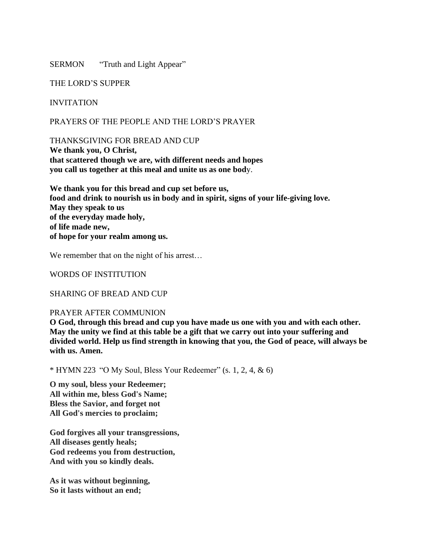SERMON "Truth and Light Appear"

THE LORD'S SUPPER

## INVITATION

PRAYERS OF THE PEOPLE AND THE LORD'S PRAYER

THANKSGIVING FOR BREAD AND CUP **We thank you, O Christ, that scattered though we are, with different needs and hopes you call us together at this meal and unite us as one bod**y.

**We thank you for this bread and cup set before us, food and drink to nourish us in body and in spirit, signs of your life-giving love. May they speak to us of the everyday made holy, of life made new, of hope for your realm among us.**

We remember that on the night of his arrest...

WORDS OF INSTITUTION

SHARING OF BREAD AND CUP

### PRAYER AFTER COMMUNION

**O God, through this bread and cup you have made us one with you and with each other. May the unity we find at this table be a gift that we carry out into your suffering and divided world. Help us find strength in knowing that you, the God of peace, will always be with us. Amen.**

 $*$  HYMN 223 "O My Soul, Bless Your Redeemer" (s. 1, 2, 4, & 6)

**O my soul, bless your Redeemer; All within me, bless God's Name; Bless the Savior, and forget not All God's mercies to proclaim;**

**God forgives all your transgressions, All diseases gently heals; God redeems you from destruction, And with you so kindly deals.**

**As it was without beginning, So it lasts without an end;**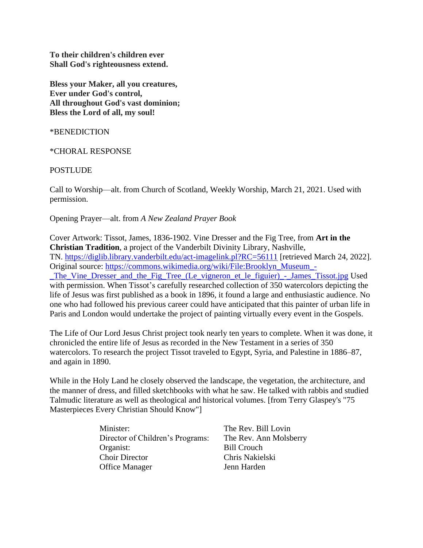**To their children's children ever Shall God's righteousness extend.**

**Bless your Maker, all you creatures, Ever under God's control, All throughout God's vast dominion; Bless the Lord of all, my soul!**

\*BENEDICTION

\*CHORAL RESPONSE

**POSTLUDE** 

Call to Worship—alt. from Church of Scotland, Weekly Worship, March 21, 2021. Used with permission.

Opening Prayer—alt. from *A New Zealand Prayer Book*

Cover Artwork: Tissot, James, 1836-1902. Vine Dresser and the Fig Tree, from **Art in the Christian Tradition**, a project of the Vanderbilt Divinity Library, Nashville, TN. <https://diglib.library.vanderbilt.edu/act-imagelink.pl?RC=56111> [retrieved March 24, 2022]. Original source: [https://commons.wikimedia.org/wiki/File:Brooklyn\\_Museum\\_-](https://commons.wikimedia.org/wiki/File:Brooklyn_Museum_-_The_Vine_Dresser_and_the_Fig_Tree_(Le_vigneron_et_le_figuier)_-_James_Tissot.jpg) The Vine Dresser and the Fig Tree (Le vigneron et le figuier) - James Tissot.jpg Used with permission. When Tissot's carefully researched collection of 350 watercolors depicting the life of Jesus was first published as a book in 1896, it found a large and enthusiastic audience. No one who had followed his previous career could have anticipated that this painter of urban life in Paris and London would undertake the project of painting virtually every event in the Gospels.

The Life of Our Lord Jesus Christ project took nearly ten years to complete. When it was done, it chronicled the entire life of Jesus as recorded in the New Testament in a series of 350 watercolors. To research the project Tissot traveled to Egypt, Syria, and Palestine in 1886–87, and again in 1890.

While in the Holy Land he closely observed the landscape, the vegetation, the architecture, and the manner of dress, and filled sketchbooks with what he saw. He talked with rabbis and studied Talmudic literature as well as theological and historical volumes. [from Terry Glaspey's "75 Masterpieces Every Christian Should Know"]

| Minister:                        | The Rev. Bill Lovin    |
|----------------------------------|------------------------|
| Director of Children's Programs: | The Rev. Ann Molsberry |
| Organist:                        | <b>Bill Crouch</b>     |
| <b>Choir Director</b>            | Chris Nakielski        |
| <b>Office Manager</b>            | Jenn Harden            |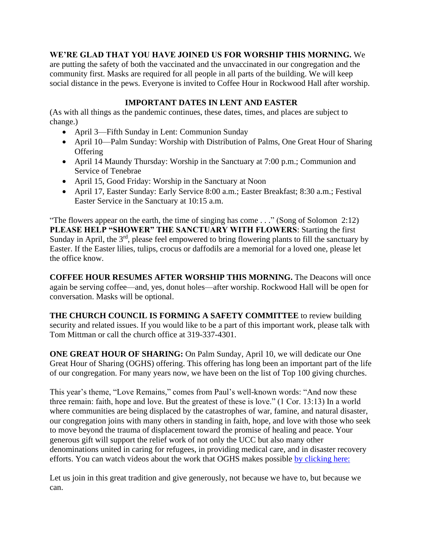## **WE'RE GLAD THAT YOU HAVE JOINED US FOR WORSHIP THIS MORNING.** We

are putting the safety of both the vaccinated and the unvaccinated in our congregation and the community first. Masks are required for all people in all parts of the building. We will keep social distance in the pews. Everyone is invited to Coffee Hour in Rockwood Hall after worship.

# **IMPORTANT DATES IN LENT AND EASTER**

(As with all things as the pandemic continues, these dates, times, and places are subject to change.)

- April 3—Fifth Sunday in Lent: Communion Sunday
- April 10—Palm Sunday: Worship with Distribution of Palms, One Great Hour of Sharing **Offering**
- April 14 Maundy Thursday: Worship in the Sanctuary at 7:00 p.m.; Communion and Service of Tenebrae
- April 15, Good Friday: Worship in the Sanctuary at Noon
- April 17, Easter Sunday: Early Service 8:00 a.m.; Easter Breakfast; 8:30 a.m.; Festival Easter Service in the Sanctuary at 10:15 a.m.

"The flowers appear on the earth, the time of singing has come . . ." (Song of Solomon 2:12) **PLEASE HELP "SHOWER" THE SANCTUARY WITH FLOWERS**: Starting the first Sunday in April, the  $3<sup>rd</sup>$ , please feel empowered to bring flowering plants to fill the sanctuary by Easter. If the Easter lilies, tulips, crocus or daffodils are a memorial for a loved one, please let the office know.

**COFFEE HOUR RESUMES AFTER WORSHIP THIS MORNING.** The Deacons will once again be serving coffee—and, yes, donut holes—after worship. Rockwood Hall will be open for conversation. Masks will be optional.

**THE CHURCH COUNCIL IS FORMING A SAFETY COMMITTEE** to review building security and related issues. If you would like to be a part of this important work, please talk with Tom Mittman or call the church office at 319-337-4301.

**ONE GREAT HOUR OF SHARING:** On Palm Sunday, April 10, we will dedicate our One Great Hour of Sharing (OGHS) offering. This offering has long been an important part of the life of our congregation. For many years now, we have been on the list of Top 100 giving churches.

This year's theme, "Love Remains," comes from Paul's well-known words: "And now these three remain: faith, hope and love. But the greatest of these is love." (1 Cor. 13:13) In a world where communities are being displaced by the catastrophes of war, famine, and natural disaster, our congregation joins with many others in standing in faith, hope, and love with those who seek to move beyond the trauma of displacement toward the promise of healing and peace. Your generous gift will support the relief work of not only the UCC but also many other denominations united in caring for refugees, in providing medical care, and in disaster recovery efforts. You can watch videos about the work that OGHS makes possible [by clicking here:](https://www.ucc.org/oghs_oghs-videos/)

Let us join in this great tradition and give generously, not because we have to, but because we can.